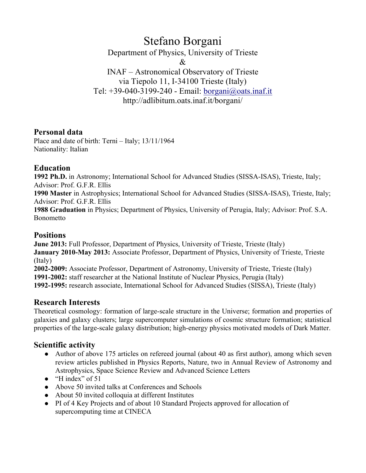# Stefano Borgani

Department of Physics, University of Trieste

&

INAF – Astronomical Observatory of Trieste via Tiepolo 11, I-34100 Trieste (Italy) Tel: +39-040-3199-240 - Email: borgani@oats.inaf.it http://adlibitum.oats.inaf.it/borgani/

# **Personal data**

Place and date of birth: Terni – Italy; 13/11/1964 Nationality: Italian

# **Education**

**1992 Ph.D.** in Astronomy; International School for Advanced Studies (SISSA-ISAS), Trieste, Italy; Advisor: Prof. G.F.R. Ellis

**1990 Master** in Astrophysics; International School for Advanced Studies (SISSA-ISAS), Trieste, Italy; Advisor: Prof. G.F.R. Ellis

**1988 Graduation** in Physics; Department of Physics, University of Perugia, Italy; Advisor: Prof. S.A. Bonometto

### **Positions**

**June 2013:** Full Professor, Department of Physics, University of Trieste, Trieste (Italy) **January 2010-May 2013:** Associate Professor, Department of Physics, University of Trieste, Trieste (Italy) **2002-2009:** Associate Professor, Department of Astronomy, University of Trieste, Trieste (Italy) **1991-2002:** staff researcher at the National Institute of Nuclear Physics, Perugia (Italy)

**1992-1995:** research associate, International School for Advanced Studies (SISSA), Trieste (Italy)

# **Research Interests**

Theoretical cosmology: formation of large-scale structure in the Universe; formation and properties of galaxies and galaxy clusters; large supercomputer simulations of cosmic structure formation; statistical properties of the large-scale galaxy distribution; high-energy physics motivated models of Dark Matter.

# **Scientific activity**

- Author of above 175 articles on refereed journal (about 40 as first author), among which seven review articles published in Physics Reports, Nature, two in Annual Review of Astronomy and Astrophysics, Space Science Review and Advanced Science Letters
- $\bullet$  "H index" of 51
- Above 50 invited talks at Conferences and Schools
- About 50 invited colloquia at different Institutes
- PI of 4 Key Projects and of about 10 Standard Projects approved for allocation of supercomputing time at CINECA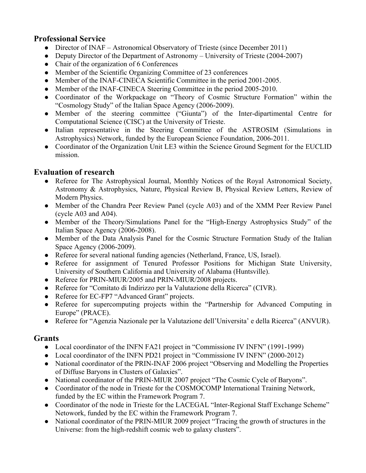# **Professional Service**

- Director of INAF Astronomical Observatory of Trieste (since December 2011)
- Deputy Director of the Department of Astronomy University of Trieste (2004-2007)
- Chair of the organization of 6 Conferences
- Member of the Scientific Organizing Committee of 23 conferences
- Member of the INAF-CINECA Scientific Committee in the period 2001-2005.
- Member of the INAF-CINECA Steering Committee in the period 2005-2010.
- Coordinator of the Workpackage on "Theory of Cosmic Structure Formation" within the "Cosmology Study" of the Italian Space Agency (2006-2009).
- l Member of the steering committee ("Giunta") of the Inter-dipartimental Centre for Computational Science (CISC) at the University of Trieste.
- Italian representative in the Steering Committee of the ASTROSIM (Simulations in Astrophysics) Network, funded by the European Science Foundation, 2006-2011.
- Coordinator of the Organization Unit LE3 within the Science Ground Segment for the EUCLID mission.

# **Evaluation of research**

- Referee for The Astrophysical Journal, Monthly Notices of the Royal Astronomical Society, Astronomy & Astrophysics, Nature, Physical Review B, Physical Review Letters, Review of Modern Physics.
- Member of the Chandra Peer Review Panel (cycle A03) and of the XMM Peer Review Panel (cycle A03 and A04).
- Member of the Theory/Simulations Panel for the "High-Energy Astrophysics Study" of the Italian Space Agency (2006-2008).
- Member of the Data Analysis Panel for the Cosmic Structure Formation Study of the Italian Space Agency (2006-2009).
- Referee for several national funding agencies (Netherland, France, US, Israel).
- Referee for assignment of Tenured Professor Positions for Michigan State University, University of Southern California and University of Alabama (Huntsville).
- Referee for PRIN-MIUR/2005 and PRIN-MIUR/2008 projects.
- Referee for "Comitato di Indirizzo per la Valutazione della Ricerca" (CIVR).
- Referee for EC-FP7 "Advanced Grant" projects.
- Referee for supercomputing projects within the "Partnership for Advanced Computing in Europe" (PRACE).
- l Referee for "Agenzia Nazionale per la Valutazione dell'Universita' e della Ricerca" (ANVUR).

# **Grants**

- Local coordinator of the INFN FA21 project in "Commissione IV INFN" (1991-1999)
- Local coordinator of the INFN PD21 project in "Commissione IV INFN" (2000-2012)
- National coordinator of the PRIN-INAF 2006 project "Observing and Modelling the Properties of Diffuse Baryons in Clusters of Galaxies".
- National coordinator of the PRIN-MIUR 2007 project "The Cosmic Cycle of Baryons".
- Coordinator of the node in Trieste for the COSMOCOMP International Training Network, funded by the EC within the Framework Program 7.
- Coordinator of the node in Trieste for the LACEGAL "Inter-Regional Staff Exchange Scheme" Netowork, funded by the EC within the Framework Program 7.
- National coordinator of the PRIN-MIUR 2009 project "Tracing the growth of structures in the Universe: from the high-redshift cosmic web to galaxy clusters".